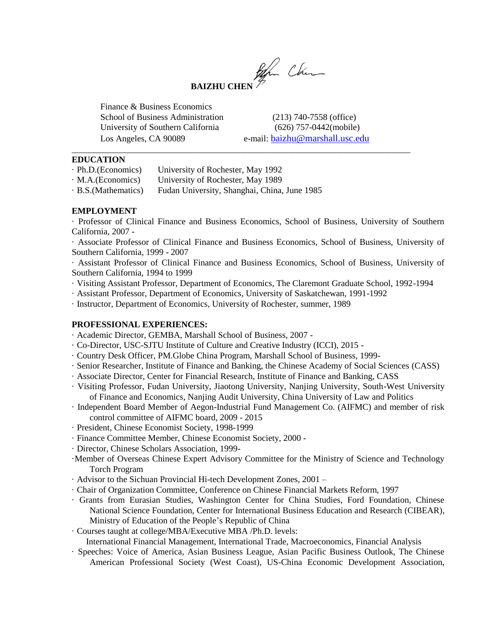

\_\_\_\_\_\_\_\_\_\_\_\_\_\_\_\_\_\_\_\_\_\_\_\_\_\_\_\_\_\_\_\_\_\_\_\_\_\_\_\_\_\_\_\_\_\_\_\_\_\_\_\_\_\_\_\_\_\_\_\_\_\_\_\_\_\_\_\_\_\_\_\_\_\_\_\_\_

Finance & Business Economics School of Business Administration (213) 740-7558 (office) University of Southern California (626) 757-0442(mobile)

Los Angeles, CA 90089 e-mail: [baizhu@marshall.usc.edu](mailto:bchen@sba.usc.edu)

### **EDUCATION**

· M.A.(Economics) University of Rochester, May 1989

· B.S.(Mathematics) Fudan University, Shanghai, China, June 1985

## **EMPLOYMENT**

· Professor of Clinical Finance and Business Economics, School of Business, University of Southern California, 2007 -

· Associate Professor of Clinical Finance and Business Economics, School of Business, University of Southern California, 1999 - 2007

· Assistant Professor of Clinical Finance and Business Economics, School of Business, University of Southern California, 1994 to 1999

- · Visiting Assistant Professor, Department of Economics, The Claremont Graduate School, 1992-1994
- · Assistant Professor, Department of Economics, University of Saskatchewan, 1991-1992

· Instructor, Department of Economics, University of Rochester, summer, 1989

## **PROFESSIONAL EXPERIENCES:**

- · Academic Director, GEMBA, Marshall School of Business, 2007 -
- · Co-Director, USC-SJTU Institute of Culture and Creative Industry (ICCI), 2015 -
- · Country Desk Officer, PM.Globe China Program, Marshall School of Business, 1999-
- · Senior Researcher, Institute of Finance and Banking, the Chinese Academy of Social Sciences (CASS)
- · Associate Director, Center for Financial Research, Institute of Finance and Banking, CASS
- · Visiting Professor, Fudan University, Jiaotong University, Nanjing University, South-West University of Finance and Economics, Nanjing Audit University, China University of Law and Politics
- · Independent Board Member of Aegon-Industrial Fund Management Co. (AIFMC) and member of risk control committee of AIFMC board, 2009 - 2015
- · President, Chinese Economist Society, 1998-1999
- · Finance Committee Member, Chinese Economist Society, 2000 -
- · Director, Chinese Scholars Association, 1999-
- ·Member of Overseas Chinese Expert Advisory Committee for the Ministry of Science and Technology Torch Program
- · Advisor to the Sichuan Provincial Hi-tech Development Zones, 2001 –
- · Chair of Organization Committee, Conference on Chinese Financial Markets Reform, 1997
- · Grants from Eurasian Studies, Washington Center for China Studies, Ford Foundation, Chinese National Science Foundation, Center for International Business Education and Research (CIBEAR), Ministry of Education of the People's Republic of China
- · Courses taught at college/MBA/Executive MBA /Ph.D. levels:

International Financial Management, International Trade, Macroeconomics, Financial Analysis

· Speeches: Voice of America, Asian Business League, Asian Pacific Business Outlook, The Chinese American Professional Society (West Coast), US-China Economic Development Association,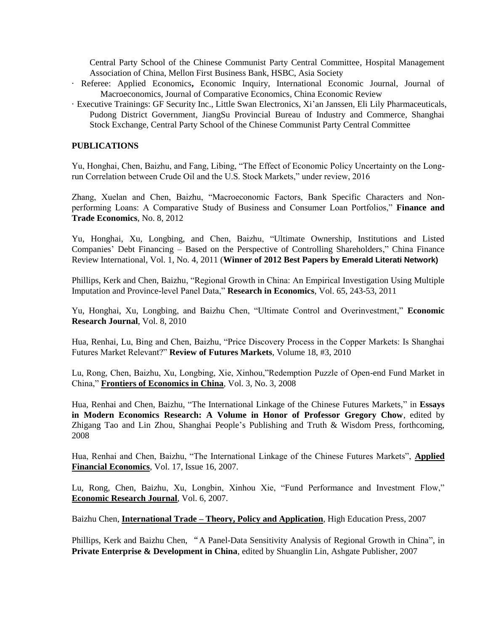Central Party School of the Chinese Communist Party Central Committee, Hospital Management Association of China, Mellon First Business Bank, HSBC, Asia Society

- · Referee: Applied Economics**,** Economic Inquiry, International Economic Journal, Journal of Macroeconomics, Journal of Comparative Economics, China Economic Review
- · Executive Trainings: GF Security Inc., Little Swan Electronics, Xi'an Janssen, Eli Lily Pharmaceuticals, Pudong District Government, JiangSu Provincial Bureau of Industry and Commerce, Shanghai Stock Exchange, Central Party School of the Chinese Communist Party Central Committee

#### **PUBLICATIONS**

Yu, Honghai, Chen, Baizhu, and Fang, Libing, "The Effect of Economic Policy Uncertainty on the Longrun Correlation between Crude Oil and the U.S. Stock Markets," under review, 2016

Zhang, Xuelan and Chen, Baizhu, "Macroeconomic Factors, Bank Specific Characters and Nonperforming Loans: A Comparative Study of Business and Consumer Loan Portfolios," **Finance and Trade Economics**, No. 8, 2012

Yu, Honghai, Xu, Longbing, and Chen, Baizhu, "Ultimate Ownership, Institutions and Listed Companies' Debt Financing – Based on the Perspective of Controlling Shareholders," China Finance Review International, Vol. 1, No. 4, 2011 (**Winner of 2012 Best Papers by Emerald Literati Network)**

Phillips, Kerk and Chen, Baizhu, "Regional Growth in China: An Empirical Investigation Using Multiple Imputation and Province-level Panel Data," **Research in Economics**, Vol. 65, 243-53, 2011

Yu, Honghai, Xu, Longbing, and Baizhu Chen, "Ultimate Control and Overinvestment," **Economic Research Journal**, Vol. 8, 2010

Hua, Renhai, Lu, Bing and Chen, Baizhu, "Price Discovery Process in the Copper Markets: Is Shanghai Futures Market Relevant?" **Review of Futures Markets**, Volume 18, #3, 2010

Lu, Rong, Chen, Baizhu, Xu, Longbing, Xie, Xinhou,"Redemption Puzzle of Open-end Fund Market in China," **Frontiers of Economics in China**, Vol. 3, No. 3, 2008

Hua, Renhai and Chen, Baizhu, "The International Linkage of the Chinese Futures Markets," in **Essays in Modern Economics Research: A Volume in Honor of Professor Gregory Chow**, edited by Zhigang Tao and Lin Zhou, Shanghai People's Publishing and Truth & Wisdom Press, forthcoming, 2008

Hua, Renhai and Chen, Baizhu, "The International Linkage of the Chinese Futures Markets", **Applied Financial Economics**, Vol. 17, Issue 16, 2007.

Lu, Rong, Chen, Baizhu, Xu, Longbin, Xinhou Xie, "Fund Performance and Investment Flow," **Economic Research Journal**, Vol. 6, 2007.

Baizhu Chen, **International Trade – Theory, Policy and Application**, High Education Press, 2007

Phillips, Kerk and Baizhu Chen, "A Panel-Data Sensitivity Analysis of Regional Growth in China", in **Private Enterprise & Development in China**, edited by Shuanglin Lin, Ashgate Publisher, 2007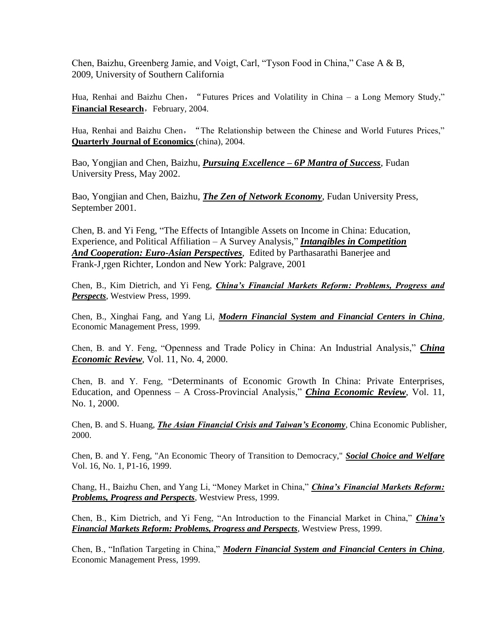Chen, Baizhu, Greenberg Jamie, and Voigt, Carl, "Tyson Food in China," Case A & B, 2009, University of Southern California

Hua, Renhai and Baizhu Chen, "Futures Prices and Volatility in China – a Long Memory Study," **Financial Research**, February, 2004.

Hua, Renhai and Baizhu Chen,"The Relationship between the Chinese and World Futures Prices," **Quarterly Journal of Economics** (china), 2004.

Bao, Yongjian and Chen, Baizhu, *Pursuing Excellence – 6P Mantra of Success*, Fudan University Press, May 2002.

Bao, Yongjian and Chen, Baizhu, *The Zen of Network Economy*, Fudan University Press, September 2001.

Chen, B. and Yi Feng, "The Effects of Intangible Assets on Income in China: Education, Experience, and Political Affiliation – A Survey Analysis," *Intangibles in Competition And Cooperation: Euro-Asian Perspectives*, Edited by Parthasarathi Banerjee and Frank-J rgen Richter, London and New York: Palgrave, 2001

Chen, B., Kim Dietrich, and Yi Feng, *China's Financial Markets Reform: Problems, Progress and Perspects*, Westview Press, 1999.

Chen, B., Xinghai Fang, and Yang Li, *Modern Financial System and Financial Centers in China*, Economic Management Press, 1999.

Chen, B. and Y. Feng, "Openness and Trade Policy in China: An Industrial Analysis," *China Economic Review*, Vol. 11, No. 4, 2000.

Chen, B. and Y. Feng, "Determinants of Economic Growth In China: Private Enterprises, Education, and Openness – A Cross-Provincial Analysis," *China Economic Review*, Vol. 11, No. 1, 2000.

Chen, B. and S. Huang, *The Asian Financial Crisis and Taiwan's Economy*, China Economic Publisher, 2000.

Chen, B. and Y. Feng, "An Economic Theory of Transition to Democracy," *Social Choice and Welfare* Vol. 16, No. 1, P1-16, 1999.

Chang, H., Baizhu Chen, and Yang Li, "Money Market in China," *China's Financial Markets Reform: Problems, Progress and Perspects*, Westview Press, 1999.

Chen, B., Kim Dietrich, and Yi Feng, "An Introduction to the Financial Market in China," *China's Financial Markets Reform: Problems, Progress and Perspects*, Westview Press, 1999.

Chen, B., "Inflation Targeting in China," *Modern Financial System and Financial Centers in China*, Economic Management Press, 1999.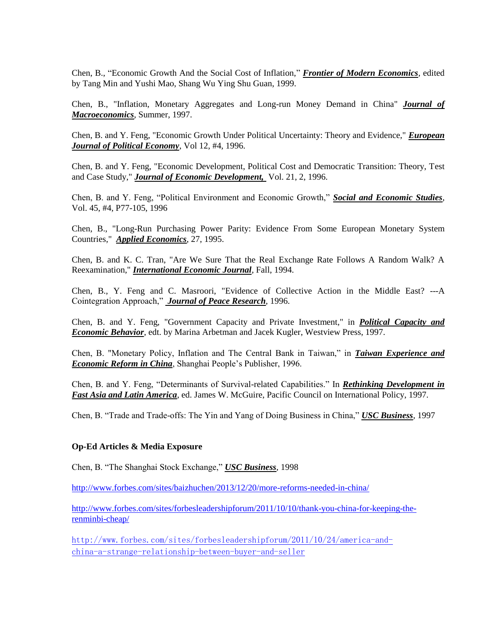Chen, B., "Economic Growth And the Social Cost of Inflation," *Frontier of Modern Economics*, edited by Tang Min and Yushi Mao, Shang Wu Ying Shu Guan, 1999.

Chen, B., "Inflation, Monetary Aggregates and Long-run Money Demand in China" *Journal of Macroeconomics*, Summer, 1997.

Chen, B. and Y. Feng, "Economic Growth Under Political Uncertainty: Theory and Evidence," *European Journal of Political Economy*, Vol 12, #4, 1996.

Chen, B. and Y. Feng, "Economic Development, Political Cost and Democratic Transition: Theory, Test and Case Study," *Journal of Economic Development,* Vol. 21, 2, 1996.

Chen, B. and Y. Feng, "Political Environment and Economic Growth," *Social and Economic Studies*, Vol. 45, #4, P77-105, 1996

Chen, B., "Long-Run Purchasing Power Parity: Evidence From Some European Monetary System Countries," *Applied Economics*, 27, 1995.

Chen, B. and K. C. Tran, "Are We Sure That the Real Exchange Rate Follows A Random Walk? A Reexamination," *International Economic Journal*, Fall, 1994.

Chen, B., Y. Feng and C. Masroori, "Evidence of Collective Action in the Middle East? ---A Cointegration Approach," *Journal of Peace Research*, 1996.

Chen, B. and Y. Feng, "Government Capacity and Private Investment," in *Political Capacity and Economic Behavior*, edt. by Marina Arbetman and Jacek Kugler, Westview Press, 1997.

Chen, B. "Monetary Policy, Inflation and The Central Bank in Taiwan," in *Taiwan Experience and Economic Reform in China*, Shanghai People's Publisher, 1996.

Chen, B. and Y. Feng, "Determinants of Survival-related Capabilities." In *Rethinking Development in Fast Asia and Latin America*, ed. James W. McGuire, Pacific Council on International Policy, 1997.

Chen, B. "Trade and Trade-offs: The Yin and Yang of Doing Business in China," *USC Business*, 1997

#### **Op-Ed Articles & Media Exposure**

Chen, B. "The Shanghai Stock Exchange," *USC Business*, 1998

<http://www.forbes.com/sites/baizhuchen/2013/12/20/more-reforms-needed-in-china/>

[http://www.forbes.com/sites/forbesleadershipforum/2011/10/10/thank-you-china-for-keeping-the](http://www.forbes.com/sites/forbesleadershipforum/2011/10/10/thank-you-china-for-keeping-the-renminbi-cheap/)[renminbi-cheap/](http://www.forbes.com/sites/forbesleadershipforum/2011/10/10/thank-you-china-for-keeping-the-renminbi-cheap/)

[http://www.forbes.com/sites/forbesleadershipforum/2011/10/24/america-and](http://www.forbes.com/sites/forbesleadershipforum/2011/10/24/america-and-china-a-strange-relationship-between-buyer-and-seller)[china-a-strange-relationship-between-buyer-and-seller](http://www.forbes.com/sites/forbesleadershipforum/2011/10/24/america-and-china-a-strange-relationship-between-buyer-and-seller)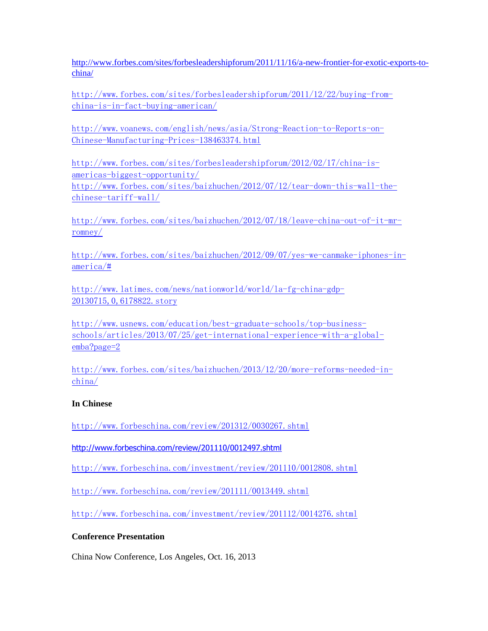[http://www.forbes.com/sites/forbesleadershipforum/2011/11/16/a-new-frontier-for-exotic-exports-to](http://www.forbes.com/sites/forbesleadershipforum/2011/11/16/a-new-frontier-for-exotic-exports-to-china/)[china/](http://www.forbes.com/sites/forbesleadershipforum/2011/11/16/a-new-frontier-for-exotic-exports-to-china/)

[http://www.forbes.com/sites/forbesleadershipforum/2011/12/22/buying-from](http://www.forbes.com/sites/forbesleadershipforum/2011/12/22/buying-from-china-is-in-fact-buying-american/)[china-is-in-fact-buying-american/](http://www.forbes.com/sites/forbesleadershipforum/2011/12/22/buying-from-china-is-in-fact-buying-american/)

[http://www.voanews.com/english/news/asia/Strong-Reaction-to-Reports-on-](http://www.voanews.com/english/news/asia/Strong-Reaction-to-Reports-on-Chinese-Manufacturing-Prices-138463374.html)[Chinese-Manufacturing-Prices-138463374.html](http://www.voanews.com/english/news/asia/Strong-Reaction-to-Reports-on-Chinese-Manufacturing-Prices-138463374.html)

[http://www.forbes.com/sites/forbesleadershipforum/2012/02/17/china-is](http://www.forbes.com/sites/forbesleadershipforum/2012/02/17/china-is-americas-biggest-opportunity/)[americas-biggest-opportunity/](http://www.forbes.com/sites/forbesleadershipforum/2012/02/17/china-is-americas-biggest-opportunity/) [http://www.forbes.com/sites/baizhuchen/2012/07/12/tear-down-this-wall-the](http://www.forbes.com/sites/baizhuchen/2012/07/12/tear-down-this-wall-the-chinese-tariff-wall/)[chinese-tariff-wall/](http://www.forbes.com/sites/baizhuchen/2012/07/12/tear-down-this-wall-the-chinese-tariff-wall/)

[http://www.forbes.com/sites/baizhuchen/2012/07/18/leave-china-out-of-it-mr](http://www.forbes.com/sites/baizhuchen/2012/07/18/leave-china-out-of-it-mr-romney/)[romney/](http://www.forbes.com/sites/baizhuchen/2012/07/18/leave-china-out-of-it-mr-romney/)

[http://www.forbes.com/sites/baizhuchen/2012/09/07/yes-we-canmake-iphones-in](http://www.forbes.com/sites/baizhuchen/2012/09/07/yes-we-canmake-iphones-in-america/)[america/#](http://www.forbes.com/sites/baizhuchen/2012/09/07/yes-we-canmake-iphones-in-america/)

[http://www.latimes.com/news/nationworld/world/la-fg-china-gdp-](http://www.latimes.com/news/nationworld/world/la-fg-china-gdp-20130715,0,6178822.story)[20130715,0,6178822.story](http://www.latimes.com/news/nationworld/world/la-fg-china-gdp-20130715,0,6178822.story)

[http://www.usnews.com/education/best-graduate-schools/top-business](http://www.usnews.com/education/best-graduate-schools/top-business-schools/articles/2013/07/25/get-international-experience-with-a-global-emba?page=2)[schools/articles/2013/07/25/get-international-experience-with-a-global](http://www.usnews.com/education/best-graduate-schools/top-business-schools/articles/2013/07/25/get-international-experience-with-a-global-emba?page=2)[emba?page=2](http://www.usnews.com/education/best-graduate-schools/top-business-schools/articles/2013/07/25/get-international-experience-with-a-global-emba?page=2)

[http://www.forbes.com/sites/baizhuchen/2013/12/20/more-reforms-needed-in](http://www.forbes.com/sites/baizhuchen/2013/12/20/more-reforms-needed-in-china/)[china/](http://www.forbes.com/sites/baizhuchen/2013/12/20/more-reforms-needed-in-china/)

# **In Chinese**

<http://www.forbeschina.com/review/201312/0030267.shtml>

[http://www.forbeschina.com/review/201110/0012497.shtml](https://mail.marshall.usc.edu/owa/redir.aspx?C=bd6bce43ad5e48889ea0ffd7b34b5fba&URL=http%3a%2f%2fwww.forbeschina.com%2freview%2f201110%2f0012497.shtml)

[http://www.forbeschina.com/investment/review/201110/0012808.shtml](https://mail.marshall.usc.edu/owa/redir.aspx?C=051a0126d35a4ffd8899ca01c5096c3c&URL=http%3a%2f%2fwww.forbeschina.com%2finvestment%2freview%2f201110%2f0012808.shtml)

<http://www.forbeschina.com/review/201111/0013449.shtml>

<http://www.forbeschina.com/investment/review/201112/0014276.shtml>

# **Conference Presentation**

China Now Conference, Los Angeles, Oct. 16, 2013